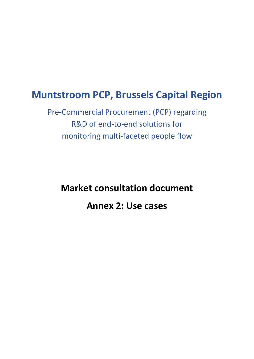# **Muntstroom PCP, Brussels Capital Region**

Pre-Commercial Procurement (PCP) regarding R&D of end-to-end solutions for monitoring multi-faceted people flow

**Market consultation document Annex 2: Use cases**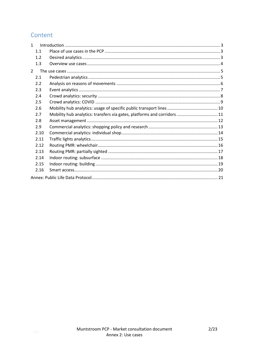## Content

| $\mathbf{1}$   |      |                                                                         |  |  |
|----------------|------|-------------------------------------------------------------------------|--|--|
|                | 1.1  |                                                                         |  |  |
|                | 1.2  |                                                                         |  |  |
|                | 1.3  |                                                                         |  |  |
| $\overline{2}$ |      |                                                                         |  |  |
|                | 2.1  |                                                                         |  |  |
|                | 2.2  |                                                                         |  |  |
|                | 2.3  |                                                                         |  |  |
|                | 2.4  |                                                                         |  |  |
|                | 2.5  |                                                                         |  |  |
|                | 2.6  |                                                                         |  |  |
|                | 2.7  | Mobility hub analytics: transfers via gates, platforms and corridors 11 |  |  |
|                | 2.8  |                                                                         |  |  |
|                | 2.9  |                                                                         |  |  |
|                | 2.10 |                                                                         |  |  |
|                | 2.11 |                                                                         |  |  |
|                | 2.12 |                                                                         |  |  |
|                | 2.13 |                                                                         |  |  |
|                | 2.14 |                                                                         |  |  |
|                | 2.15 |                                                                         |  |  |
|                | 2.16 |                                                                         |  |  |
|                |      |                                                                         |  |  |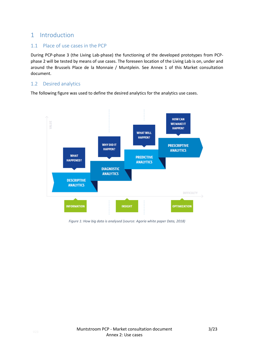## <span id="page-2-0"></span>1 Introduction

### <span id="page-2-1"></span>1.1 Place of use cases in the PCP

During PCP-phase 3 (the Living Lab-phase) the functioning of the developed prototypes from PCPphase 2 will be tested by means of use cases. The foreseen location of the Living Lab is on, under and around the Brussels Place de la Monnaie / Muntplein. See Annex 1 of this Market consultation document.

### <span id="page-2-2"></span>1.2 Desired analytics

The following figure was used to define the desired analytics for the analytics use cases.



*Figure 1: How big data is analysed (source: Agoria white paper Data, 2018)*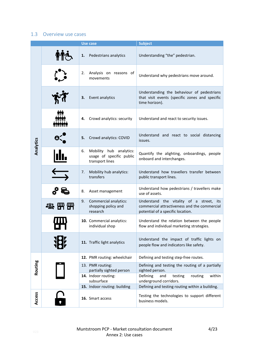### <span id="page-3-0"></span>1.3 Overview use cases

|           |    | <b>Use case</b>                                                        | <b>Subject</b>                                                                                                                   |
|-----------|----|------------------------------------------------------------------------|----------------------------------------------------------------------------------------------------------------------------------|
|           | 1. | Pedestrians analytics                                                  | Understanding "the" pedestrian.                                                                                                  |
|           | 2. | Analysis on reasons of<br>movements                                    | Understand why pedestrians move around.                                                                                          |
|           | 3. | Event analytics                                                        | Understanding the behaviour of pedestrians<br>that visit events (specific zones and specific<br>time horizon).                   |
|           | 4. | Crowd analytics: security                                              | Understand and react to security issues.                                                                                         |
| Analytics | 5. | Crowd analytics: COVID                                                 | Understand and react to social distancing<br>issues.                                                                             |
|           | 6. | Mobility hub analytics:<br>usage of specific public<br>transport lines | Quantify the alighting, onboardings, people<br>onboard and interchanges.                                                         |
|           | 7. | Mobility hub analytics:<br>transfers                                   | Understand how travellers transfer between<br>public transport lines.                                                            |
|           | 8. | Asset management                                                       | Understand how pedestrians / travellers make<br>use of assets.                                                                   |
|           | 9. | Commercial analytics:<br>shopping policy and<br>research               | Understand the vitality of a street,<br>its<br>commercial attractiveness and the commercial<br>potential of a specific location. |
|           |    | 10. Commercial analytics:<br>individual shop                           | Understand the relation between the people<br>flow and individual marketing strategies.                                          |
|           |    | 11. Traffic light analytics                                            | Understand the impact of traffic lights on<br>people flow and indicators like safety.                                            |
|           |    | 12. PMR routing: wheelchair                                            | Defining and testing step-free routes.                                                                                           |
| Routing   |    | 13. PMR routing:<br>partially sighted person                           | Defining and testing the routing of a partially<br>sighted person.                                                               |
|           |    | 14. Indoor routing:<br>subsurface                                      | Defining<br>and<br>routing<br>within<br>testing<br>underground corridors.                                                        |
|           |    | 15. Indoor routing: building                                           | Defining and testing routing within a building.                                                                                  |
| Access    |    | 16. Smart access                                                       | Testing the technologies to support different<br>business models.                                                                |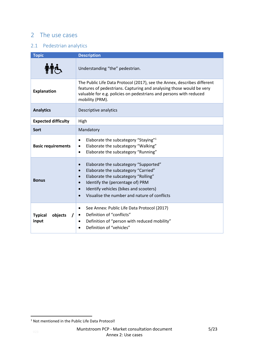## <span id="page-4-0"></span>2 The use cases

## <span id="page-4-1"></span>2.1 Pedestrian analytics

| <b>Topic</b>                       | <b>Description</b>                                                                                                                                                                                                                                                                                                 |
|------------------------------------|--------------------------------------------------------------------------------------------------------------------------------------------------------------------------------------------------------------------------------------------------------------------------------------------------------------------|
|                                    | Understanding "the" pedestrian.                                                                                                                                                                                                                                                                                    |
| <b>Explanation</b>                 | The Public Life Data Protocol (2017), see the Annex, describes different<br>features of pedestrians. Capturing and analysing those would be very<br>valuable for e.g. policies on pedestrians and persons with reduced<br>mobility (PRM).                                                                          |
| <b>Analytics</b>                   | Descriptive analytics                                                                                                                                                                                                                                                                                              |
| <b>Expected difficulty</b>         | High                                                                                                                                                                                                                                                                                                               |
| <b>Sort</b>                        | Mandatory                                                                                                                                                                                                                                                                                                          |
| <b>Basic requirements</b>          | Elaborate the subcategory "Staying" <sup>1</sup><br>٠<br>Elaborate the subcategory "Walking"<br>٠<br>Elaborate the subcategory "Running"<br>$\bullet$                                                                                                                                                              |
| <b>Bonus</b>                       | Elaborate the subcategory "Supported"<br>$\bullet$<br>Elaborate the subcategory "Carried"<br>$\bullet$<br>Elaborate the subcategory "Rolling"<br>$\bullet$<br>Identify the (percentage of) PRM<br>$\bullet$<br>Identify vehicles (bikes and scooters)<br>Visualise the number and nature of conflicts<br>$\bullet$ |
| <b>Typical</b><br>objects<br>input | See Annex: Public Life Data Protocol (2017)<br>$\bullet$<br>Definition of "conflicts"<br>Definition of "person with reduced mobility"<br>Definition of "vehicles"                                                                                                                                                  |

<sup>&</sup>lt;sup>1</sup> Not mentioned in the Public Life Data Protocol!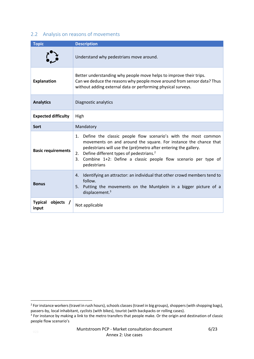### <span id="page-5-0"></span>2.2 Analysis on reasons of movements

| <b>Topic</b>                         | <b>Description</b>                                                                                                                                                                                                                                                                                                                                              |  |  |
|--------------------------------------|-----------------------------------------------------------------------------------------------------------------------------------------------------------------------------------------------------------------------------------------------------------------------------------------------------------------------------------------------------------------|--|--|
|                                      | Understand why pedestrians move around.                                                                                                                                                                                                                                                                                                                         |  |  |
| <b>Explanation</b>                   | Better understanding why people move helps to improve their trips.<br>Can we deduce the reasons why people move around from sensor data? Thus<br>without adding external data or performing physical surveys.                                                                                                                                                   |  |  |
| <b>Analytics</b>                     | Diagnostic analytics                                                                                                                                                                                                                                                                                                                                            |  |  |
| <b>Expected difficulty</b>           | High                                                                                                                                                                                                                                                                                                                                                            |  |  |
| <b>Sort</b>                          | Mandatory                                                                                                                                                                                                                                                                                                                                                       |  |  |
| <b>Basic requirements</b>            | Define the classic people flow scenario's with the most common<br>1.<br>movements on and around the square. For instance the chance that<br>pedestrians will use the (pré)metro after entering the gallery.<br>Define different types of pedestrians. <sup>2</sup><br>2.<br>Combine 1+2: Define a classic people flow scenario per type of<br>3.<br>pedestrians |  |  |
| <b>Bonus</b>                         | Identifying an attractor: an individual that other crowd members tend to<br>4.<br>follow.<br>Putting the movements on the Muntplein in a bigger picture of a<br>5.<br>displacement. $3$                                                                                                                                                                         |  |  |
| <b>Typical</b><br>objects /<br>input | Not applicable                                                                                                                                                                                                                                                                                                                                                  |  |  |

1

<sup>&</sup>lt;sup>2</sup> For instance workers (travel in rush hours), schools classes (travel in big groups), shoppers (with shopping bags), passers-by, local inhabitant, cyclists (with bikes), tourist (with backpacks or rolling cases).

<sup>&</sup>lt;sup>3</sup> For instance by making a link to the metro transfers that people make. Or the origin and destination of classic people flow scenario's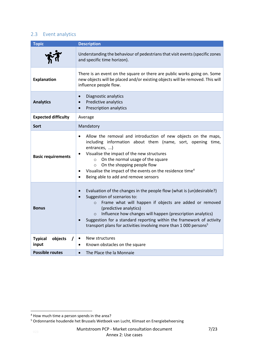## <span id="page-6-0"></span>2.3 Event analytics

| <b>Topic</b>                       | <b>Description</b>                                                                                                                                                                                                                                                                                                                                                                                                                                                           |
|------------------------------------|------------------------------------------------------------------------------------------------------------------------------------------------------------------------------------------------------------------------------------------------------------------------------------------------------------------------------------------------------------------------------------------------------------------------------------------------------------------------------|
|                                    | Understanding the behaviour of pedestrians that visit events (specific zones<br>and specific time horizon).                                                                                                                                                                                                                                                                                                                                                                  |
| <b>Explanation</b>                 | There is an event on the square or there are public works going on. Some<br>new objects will be placed and/or existing objects will be removed. This will<br>influence people flow.                                                                                                                                                                                                                                                                                          |
| <b>Analytics</b>                   | Diagnostic analytics<br>$\bullet$<br>Predictive analytics<br>$\bullet$<br><b>Prescription analytics</b><br>$\bullet$                                                                                                                                                                                                                                                                                                                                                         |
| <b>Expected difficulty</b>         | Average                                                                                                                                                                                                                                                                                                                                                                                                                                                                      |
| Sort                               | Mandatory                                                                                                                                                                                                                                                                                                                                                                                                                                                                    |
| <b>Basic requirements</b>          | Allow the removal and introduction of new objects on the maps,<br>٠<br>including information about them (name, sort, opening time,<br>entrances, )<br>Visualise the impact of the new structures<br>$\bullet$<br>On the normal usage of the square<br>$\circ$<br>On the shopping people flow<br>$\circ$<br>Visualise the impact of the events on the residence time <sup>4</sup><br>$\bullet$<br>Being able to add and remove sensors<br>$\bullet$                           |
| <b>Bonus</b>                       | Evaluation of the changes in the people flow (what is (un)desirable?)<br>$\bullet$<br>Suggestion of scenarios to:<br>$\bullet$<br>Frame what will happen if objects are added or removed<br>$\circ$<br>(predictive analytics)<br>Influence how changes will happen (prescription analytics)<br>$\circ$<br>Suggestion for a standard reporting within the framework of activity<br>$\bullet$<br>transport plans for activities involving more than 1 000 persons <sup>5</sup> |
| <b>Typical</b><br>objects<br>input | New structures<br>$\bullet$<br>Known obstacles on the square<br>$\bullet$                                                                                                                                                                                                                                                                                                                                                                                                    |
| <b>Possible routes</b>             | The Place the la Monnaie<br>$\bullet$                                                                                                                                                                                                                                                                                                                                                                                                                                        |

1

<sup>&</sup>lt;sup>4</sup> How much time a person spends in the area?

<sup>&</sup>lt;sup>5</sup> Ordonnantie houdende het Brussels Wetboek van Lucht, Klimaat en Energiebeheersing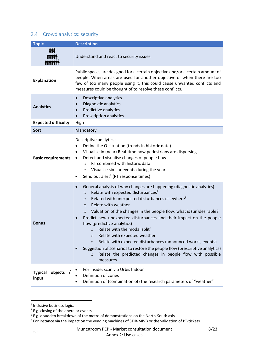### <span id="page-7-0"></span>2.4 Crowd analytics: security

| <b>Topic</b>                         | <b>Description</b>                                                                                                                                                                                                                                                                                                                                                                                                                                                                                                                                                                                                                                                                                                                                                                                 |  |  |
|--------------------------------------|----------------------------------------------------------------------------------------------------------------------------------------------------------------------------------------------------------------------------------------------------------------------------------------------------------------------------------------------------------------------------------------------------------------------------------------------------------------------------------------------------------------------------------------------------------------------------------------------------------------------------------------------------------------------------------------------------------------------------------------------------------------------------------------------------|--|--|
|                                      | Understand and react to security issues                                                                                                                                                                                                                                                                                                                                                                                                                                                                                                                                                                                                                                                                                                                                                            |  |  |
| <b>Explanation</b>                   | Public spaces are designed for a certain objective and/or a certain amount of<br>people. When areas are used for another objective or when there are too<br>few of too many people using it, this could cause unwanted conflicts and<br>measures could be thought of to resolve these conflicts.                                                                                                                                                                                                                                                                                                                                                                                                                                                                                                   |  |  |
| <b>Analytics</b>                     | Descriptive analytics<br>$\bullet$<br>Diagnostic analytics<br>Predictive analytics<br>$\bullet$<br>Prescription analytics<br>$\bullet$                                                                                                                                                                                                                                                                                                                                                                                                                                                                                                                                                                                                                                                             |  |  |
| <b>Expected difficulty</b>           | High                                                                                                                                                                                                                                                                                                                                                                                                                                                                                                                                                                                                                                                                                                                                                                                               |  |  |
| <b>Sort</b>                          | Mandatory                                                                                                                                                                                                                                                                                                                                                                                                                                                                                                                                                                                                                                                                                                                                                                                          |  |  |
| <b>Basic requirements</b>            | Descriptive analytics:<br>Define the O-situation (trends in historic data)<br>$\bullet$<br>Visualise in (near) Real-time how pedestrians are dispersing<br>$\bullet$<br>Detect and visualise changes of people flow<br>$\bullet$<br>RT combined with historic data<br>$\circ$<br>Visualise similar events during the year<br>$\circ$<br>Send out alert <sup>6</sup> (RT response times)<br>$\bullet$                                                                                                                                                                                                                                                                                                                                                                                               |  |  |
| <b>Bonus</b>                         | General analysis of why changes are happening (diagnostic analytics)<br>$\bullet$<br>Relate with expected disturbances7<br>$\circ$<br>Related with unexpected disturbances elsewhere <sup>8</sup><br>$\circ$<br>Relate with weather<br>$\Omega$<br>Valuation of the changes in the people flow: what is (un)desirable?<br>$\circ$<br>Predict new unexpected disturbances and their impact on the people<br>$\bullet$<br>flow (predictive analytics)<br>Relate with the modal split <sup>9</sup><br>$\circ$<br>Relate with expected weather<br>$\circ$<br>Relate with expected disturbances (announced works, events)<br>$\circ$<br>Suggestion of scenarios to restore the people flow (prescriptive analytics)<br>Relate the predicted changes in people flow with possible<br>$\circ$<br>measures |  |  |
| objects /<br><b>Typical</b><br>input | For inside: scan via Urbis Indoor<br>Definition of zones<br>Definition of (combination of) the research parameters of "weather"                                                                                                                                                                                                                                                                                                                                                                                                                                                                                                                                                                                                                                                                    |  |  |

 6 Inclusive business logic.

Muntstroom PCP - Market consultation document Annex 2: Use cases

 $7$  E.g. closing of the opera or events

 $^8$  E.g. a sudden breakdown of the metro of demonstrations on the North-South axis<br><sup>9</sup> For instance via the impact on the vending machines of STIB-MIVB or the validation of PT-tickets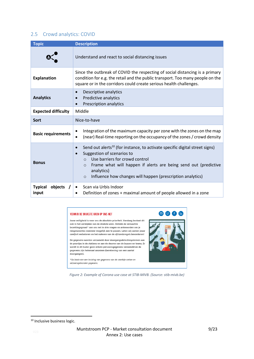### <span id="page-8-0"></span>2.5 Crowd analytics: COVID

| <b>Topic</b>                       | <b>Description</b>                                                                                                                                                                                                                                                                                                                                     |
|------------------------------------|--------------------------------------------------------------------------------------------------------------------------------------------------------------------------------------------------------------------------------------------------------------------------------------------------------------------------------------------------------|
|                                    | Understand and react to social distancing issues                                                                                                                                                                                                                                                                                                       |
| <b>Explanation</b>                 | Since the outbreak of COVID the respecting of social distancing is a primary<br>condition for e.g. the retail and the public transport. Too many people on the<br>square or in the corridors could create serious health challenges.                                                                                                                   |
| <b>Analytics</b>                   | Descriptive analytics<br>$\bullet$<br>Predictive analytics<br>$\bullet$<br><b>Prescription analytics</b><br>$\bullet$                                                                                                                                                                                                                                  |
| <b>Expected difficulty</b>         | Middle                                                                                                                                                                                                                                                                                                                                                 |
| <b>Sort</b>                        | Nice-to-have                                                                                                                                                                                                                                                                                                                                           |
| <b>Basic requirements</b>          | Integration of the maximum capacity per zone with the zones on the map<br>(near) Real-time reporting on the occupancy of the zones / crowd density<br>$\bullet$                                                                                                                                                                                        |
| <b>Bonus</b>                       | Send out alerts <sup>10</sup> (for instance, to activate specific digital street signs)<br>$\bullet$<br>Suggestion of scenarios to<br>$\bullet$<br>Use barriers for crowd control<br>Frame what will happen if alerts are being send out (predictive<br>$\circ$<br>analytics)<br>Influence how changes will happen (prescription analytics)<br>$\circ$ |
| objects<br><b>Typical</b><br>input | Scan via Urbis Indoor<br>Definition of zones + maximal amount of people allowed in a zone                                                                                                                                                                                                                                                              |

### **VERMIJD DE DRUKSTE UREN OP ONS NET**

seizoensgebonden gegevens.

Jouw veiligheid is voor ons de absolute prioriteit. Vandaag bestaat dit ook in het vermijden van de drukste uren. Ontdek de verwachte bezettingsgraad\* van ons net in drie vragen en antwoorden om je reisgewoontes wanneer mogelijk aan te passen. Laten wij samen jouw comfort verbeteren en het naleven van de afstandsregels bevorderen!

De gegevens worden verzameld door doorgangsdetectiesystemen aan de poortjes in de stations en aan de deuren van de bussen en trams. Er wordt in dit kader geen enkele persoonsgegevens verzameld en de gegevens zijn helemaal anoniem (berekening van een aantal doorgangen).

\*Op basis van een kruising van gegevens van de voorbije weken en

**DD** f th

*Figure 2: Example of Corona use case at STIB-MIVB. (Source: stib-mivb.be)*

<sup>&</sup>lt;sup>10</sup> Inclusive business logic.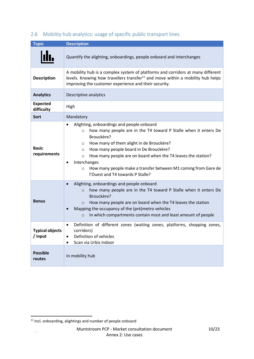| <b>Topic</b>                  | <b>Description</b>                                                                                                                                                                                                                                                                                                                                                                                                                                                         |  |  |
|-------------------------------|----------------------------------------------------------------------------------------------------------------------------------------------------------------------------------------------------------------------------------------------------------------------------------------------------------------------------------------------------------------------------------------------------------------------------------------------------------------------------|--|--|
|                               | Quantify the alighting, onboardings, people onboard and interchanges                                                                                                                                                                                                                                                                                                                                                                                                       |  |  |
| <b>Description</b>            | A mobility hub is a complex system of platforms and corridors at many different<br>levels. Knowing how travellers transfer <sup>11</sup> and move within a mobility hub helps<br>improving the customer experience and their security.                                                                                                                                                                                                                                     |  |  |
| <b>Analytics</b>              | Descriptive analytics                                                                                                                                                                                                                                                                                                                                                                                                                                                      |  |  |
| <b>Expected</b><br>difficulty | High                                                                                                                                                                                                                                                                                                                                                                                                                                                                       |  |  |
| Sort                          | Mandatory                                                                                                                                                                                                                                                                                                                                                                                                                                                                  |  |  |
| <b>Basic</b><br>requirements  | Alighting, onboardings and people onboard<br>$\bullet$<br>how many people are in the T4 toward P Stalle when it enters De<br>$\circ$<br>Brouckère?<br>How many of them alight in de Brouckère?<br>$\circ$<br>How many people board in De Brouckère?<br>$\circ$<br>How many people are on board when the T4 leaves the station?<br>$\circ$<br>Interchanges<br>How many people make a transfer between M1 coming from Gare de<br>$\circ$<br>l'Ouest and T4 towards P Stalle? |  |  |
| <b>Bonus</b>                  | Alighting, onboardings and people onboard<br>$\bullet$<br>how many people are in the T4 toward P Stalle when it enters De<br>$\circ$<br>Brouckère?<br>How many people are on board when the T4 leaves the station<br>$\circ$<br>Mapping the occupancy of the (pré)metro vehicles<br>$\bullet$<br>In which compartments contain most and least amount of people<br>$\circ$                                                                                                  |  |  |
| i ypical objects<br>/ input   | Definition of different zones (waiting zones, platforms, shopping zones,<br>$\bullet$<br>corridors)<br>Definition of vehicles<br>$\bullet$<br>Scan via Urbis Indoor<br>$\bullet$                                                                                                                                                                                                                                                                                           |  |  |
| <b>Possible</b><br>routes     | In mobility hub                                                                                                                                                                                                                                                                                                                                                                                                                                                            |  |  |

## <span id="page-9-0"></span>2.6 Mobility hub analytics: usage of specific public transport lines

 $11$  Incl. onboarding, alightings and number of people onboard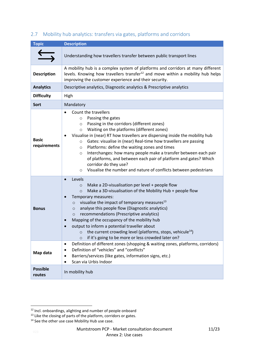| <b>Topic</b>                 | <b>Description</b>                                                                                                                                                                                                                                                                                                                                                                                                                                                                                                                                                                                                                                         |  |  |
|------------------------------|------------------------------------------------------------------------------------------------------------------------------------------------------------------------------------------------------------------------------------------------------------------------------------------------------------------------------------------------------------------------------------------------------------------------------------------------------------------------------------------------------------------------------------------------------------------------------------------------------------------------------------------------------------|--|--|
|                              | Understanding how travellers transfer between public transport lines                                                                                                                                                                                                                                                                                                                                                                                                                                                                                                                                                                                       |  |  |
| <b>Description</b>           | A mobility hub is a complex system of platforms and corridors at many different<br>levels. Knowing how travellers transfer <sup>12</sup> and move within a mobility hub helps<br>improving the customer experience and their security.                                                                                                                                                                                                                                                                                                                                                                                                                     |  |  |
| <b>Analytics</b>             | Descriptive analytics, Diagnostic analytics & Prescriptive analytics                                                                                                                                                                                                                                                                                                                                                                                                                                                                                                                                                                                       |  |  |
| <b>Difficulty</b>            | High                                                                                                                                                                                                                                                                                                                                                                                                                                                                                                                                                                                                                                                       |  |  |
| <b>Sort</b>                  | Mandatory                                                                                                                                                                                                                                                                                                                                                                                                                                                                                                                                                                                                                                                  |  |  |
| <b>Basic</b><br>requirements | Count the travellers<br>Passing the gates<br>$\circ$<br>Passing in the corridors (different zones)<br>$\circ$<br>Waiting on the platforms (different zones)<br>$\circ$<br>Visualise in (near) RT how travellers are dispersing inside the mobility hub<br>Gates: visualise in (near) Real-time how travellers are passing<br>$\circ$<br>Platforms: define the waiting zones and times<br>$\circ$<br>Interchanges: how many people make a transfer between each pair<br>$\circ$<br>of platforms, and between each pair of platform and gates? Which<br>corridor do they use?<br>Visualise the number and nature of conflicts between pedestrians<br>$\circ$ |  |  |
| <b>Bonus</b>                 | Levels<br>$\bullet$<br>Make a 2D-visualisation per level + people flow<br>$\circ$<br>Make a 3D-visualisation of the Mobility Hub + people flow<br>$\circ$<br>Temporary measures:<br>visualise the impact of temporary measures <sup>13</sup><br>$\circ$<br>analyse this people flow (Diagnostic analytics)<br>$\circ$<br>recommendations (Prescriptive analytics)<br>$\circ$<br>Mapping of the occupancy of the mobility hub<br>output to inform a potential traveller about<br>the current crowding level (platforms, stops, vehicule <sup>14</sup> )<br>O<br>if it's going to be more or less crowded later on?<br>$\circ$                               |  |  |
| Map data                     | Definition of different zones (shopping & waiting zones, platforms, corridors)<br>٠<br>Definition of "vehicles" and "conflicts"<br>Barriers/services (like gates, information signs, etc.)<br>Scan via Urbis Indoor                                                                                                                                                                                                                                                                                                                                                                                                                                        |  |  |
| <b>Possible</b><br>routes    | In mobility hub                                                                                                                                                                                                                                                                                                                                                                                                                                                                                                                                                                                                                                            |  |  |

### <span id="page-10-0"></span>2.7 Mobility hub analytics: transfers via gates, platforms and corridors

<sup>&</sup>lt;sup>12</sup> Incl. onboardings, alighting and number of people onboard

<sup>13</sup> Like the closing of parts of the platform, corridors or gates.

<sup>&</sup>lt;sup>14</sup> See the other use case Mobility Hub use case.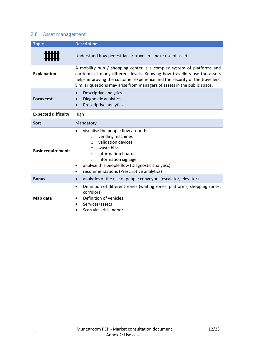### <span id="page-11-0"></span>2.8 Asset management

| <b>Topic</b>                                                                                                                                                                          | <b>Description</b>                                                                                                                                                                                                                                                                                            |  |  |  |
|---------------------------------------------------------------------------------------------------------------------------------------------------------------------------------------|---------------------------------------------------------------------------------------------------------------------------------------------------------------------------------------------------------------------------------------------------------------------------------------------------------------|--|--|--|
|                                                                                                                                                                                       | Understand how pedestrians / travellers make use of asset                                                                                                                                                                                                                                                     |  |  |  |
| <b>Explanation</b>                                                                                                                                                                    | A mobility hub / shopping center is a complex system of platforms and<br>corridors at many different levels. Knowing how travellers use the assets<br>helps improving the customer experience and the security of the travellers.<br>Similar questions may arise from managers of assets in the public space. |  |  |  |
| <b>Focus test</b>                                                                                                                                                                     | Descriptive analytics<br>$\bullet$<br>Diagnostic analytics<br>$\bullet$<br>Prescriptive analytics<br>$\bullet$                                                                                                                                                                                                |  |  |  |
| <b>Expected difficulty</b>                                                                                                                                                            | High                                                                                                                                                                                                                                                                                                          |  |  |  |
| Sort                                                                                                                                                                                  | Mandatory                                                                                                                                                                                                                                                                                                     |  |  |  |
| <b>Basic requirements</b>                                                                                                                                                             | visualise the people flow around:<br>vending machines<br>$\circ$<br>validation devices<br>$\circ$<br>waste bins<br>$\circ$<br>information boards<br>$\bigcirc$<br>information signage<br>$\circ$<br>analyse this people flow (Diagnostic analytics)<br>recommendations (Prescriptive analytics)<br>$\bullet$  |  |  |  |
| <b>Bonus</b>                                                                                                                                                                          | analytics of the use of people conveyors (escalator, elevator)<br>$\bullet$                                                                                                                                                                                                                                   |  |  |  |
| Definition of different zones (waiting zones, platforms, shopping zones,<br>$\bullet$<br>corridors)<br>Definition of vehicles<br>Map data<br>Services/assets<br>Scan via Urbis Indoor |                                                                                                                                                                                                                                                                                                               |  |  |  |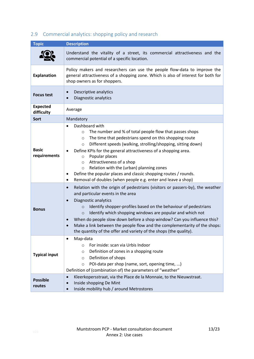| <b>Topic</b>                  | <b>Description</b>                                                                                                                                                                                                                                                                                                                                                                                                                                                                                                                                                                               |
|-------------------------------|--------------------------------------------------------------------------------------------------------------------------------------------------------------------------------------------------------------------------------------------------------------------------------------------------------------------------------------------------------------------------------------------------------------------------------------------------------------------------------------------------------------------------------------------------------------------------------------------------|
|                               | Understand the vitality of a street, its commercial attractiveness and the<br>commercial potential of a specific location.                                                                                                                                                                                                                                                                                                                                                                                                                                                                       |
| <b>Explanation</b>            | Policy makers and researchers can use the people flow-data to improve the<br>general attractiveness of a shopping zone. Which is also of interest for both for<br>shop owners as for shoppers.                                                                                                                                                                                                                                                                                                                                                                                                   |
| <b>Focus test</b>             | Descriptive analytics<br>$\bullet$<br>Diagnostic analytics                                                                                                                                                                                                                                                                                                                                                                                                                                                                                                                                       |
| <b>Expected</b><br>difficulty | Average                                                                                                                                                                                                                                                                                                                                                                                                                                                                                                                                                                                          |
| <b>Sort</b>                   | Mandatory                                                                                                                                                                                                                                                                                                                                                                                                                                                                                                                                                                                        |
| <b>Basic</b><br>requirements  | Dashboard with<br>$\bullet$<br>The number and % of total people flow that passes shops<br>$\circ$<br>The time that pedestrians spend on this shopping route<br>$\circ$<br>Different speeds (walking, strolling/shopping, sitting down)<br>$\circ$<br>Define KPIs for the general attractiveness of a shopping area.<br>٠<br>Popular places<br>$\circ$<br>Attractiveness of a shop<br>$\circ$<br>Relation with the (urban) planning zones<br>$\circ$<br>Define the popular places and classic shopping routes / rounds.<br>٠<br>Removal of doubles (when people e.g. enter and leave a shop)<br>٠ |
| <b>Bonus</b>                  | Relation with the origin of pedestrians (visitors or passers-by), the weather<br>$\bullet$<br>and particular events in the area<br>Diagnostic analytics<br>$\bullet$<br>Identify shopper-profiles based on the behaviour of pedestrians<br>$\circ$<br>Identify which shopping windows are popular and which not<br>$\circ$<br>When do people slow down before a shop window? Can you influence this?<br>$\bullet$<br>Make a link between the people flow and the complementarity of the shops:<br>$\bullet$<br>the quantity of the offer and variety of the shops (the quality).                 |
| <b>Typical input</b>          | Map-data<br>٠<br>For inside: scan via Urbis Indoor<br>$\circ$<br>Definition of zones in a shopping route<br>O<br>Definition of shops<br>$\circ$<br>POI-data per shop (name, sort, opening time, )<br>$\circ$<br>Definition of (combination of) the parameters of "weather"                                                                                                                                                                                                                                                                                                                       |
| <b>Possible</b><br>routes     | Kleerkopersstraat, via the Place de la Monnaie, to the Nieuwstraat.<br>$\bullet$<br>Inside shopping De Mint<br>$\bullet$<br>Inside mobility hub / around Metrostores<br>$\bullet$                                                                                                                                                                                                                                                                                                                                                                                                                |

## <span id="page-12-0"></span>2.9 Commercial analytics: shopping policy and research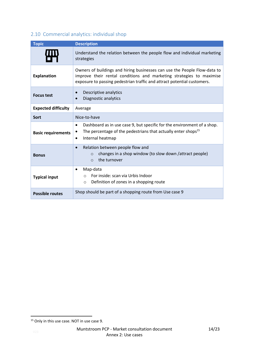## <span id="page-13-0"></span>2.10 Commercial analytics: individual shop

| <b>Topic</b>               | <b>Description</b>                                                                                                                                                                                                           |  |  |  |
|----------------------------|------------------------------------------------------------------------------------------------------------------------------------------------------------------------------------------------------------------------------|--|--|--|
| Щ                          | Understand the relation between the people flow and individual marketing<br>strategies                                                                                                                                       |  |  |  |
| <b>Explanation</b>         | Owners of buildings and hiring businesses can use the People Flow-data to<br>improve their rental conditions and marketing strategies to maximise<br>exposure to passing pedestrian traffic and attract potential customers. |  |  |  |
| <b>Focus test</b>          | Descriptive analytics<br>$\bullet$<br>Diagnostic analytics<br>$\bullet$                                                                                                                                                      |  |  |  |
| <b>Expected difficulty</b> | Average                                                                                                                                                                                                                      |  |  |  |
| Sort                       | Nice-to-have                                                                                                                                                                                                                 |  |  |  |
| <b>Basic requirements</b>  | Dashboard as in use case 9, but specific for the environment of a shop.<br>$\bullet$<br>The percentage of the pedestrians that actually enter shops <sup>15</sup><br>Internal heatmap<br>$\bullet$                           |  |  |  |
| <b>Bonus</b>               | Relation between people flow and<br>$\bullet$<br>changes in a shop window (to slow down /attract people)<br>$\Omega$<br>the turnover<br>$\Omega$                                                                             |  |  |  |
| <b>Typical input</b>       | Map-data<br>$\bullet$<br>For inside: scan via Urbis Indoor<br>$\circ$<br>Definition of zones in a shopping route<br>$\circ$                                                                                                  |  |  |  |
| <b>Possible routes</b>     | Shop should be part of a shopping route from Use case 9                                                                                                                                                                      |  |  |  |

<sup>&</sup>lt;sup>15</sup> Only in this use case. NOT in use case 9.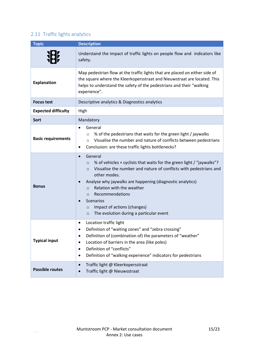## <span id="page-14-0"></span>2.11 Traffic lights analytics

| <b>Topic</b>               | <b>Description</b>                                                                                                                                                                                                                                                                                                                                                                                                                                                |  |  |  |  |
|----------------------------|-------------------------------------------------------------------------------------------------------------------------------------------------------------------------------------------------------------------------------------------------------------------------------------------------------------------------------------------------------------------------------------------------------------------------------------------------------------------|--|--|--|--|
|                            | Understand the impact of traffic lights on people flow and indicators like<br>safety.                                                                                                                                                                                                                                                                                                                                                                             |  |  |  |  |
| <b>Explanation</b>         | Map pedestrian flow at the traffic lights that are placed on either side of<br>the square where the Kleerkopersstraat and Nieuwstraat are located. This<br>helps to understand the safety of the pedestrians and their "walking<br>experience".                                                                                                                                                                                                                   |  |  |  |  |
| <b>Focus test</b>          | Descriptive analytics & Diagnostics analytics                                                                                                                                                                                                                                                                                                                                                                                                                     |  |  |  |  |
| <b>Expected difficulty</b> | High                                                                                                                                                                                                                                                                                                                                                                                                                                                              |  |  |  |  |
| <b>Sort</b>                | Mandatory                                                                                                                                                                                                                                                                                                                                                                                                                                                         |  |  |  |  |
| <b>Basic requirements</b>  | General<br>$\bullet$<br>% of the pedestrians that waits for the green light / jaywalks<br>$\circ$<br>Visualise the number and nature of conflicts between pedestrians<br>$\Omega$<br>Conclusion: are these traffic lights bottlenecks?<br>٠                                                                                                                                                                                                                       |  |  |  |  |
| <b>Bonus</b>               | General<br>$\bullet$<br>% of vehicles + cyclists that waits for the green light / "jaywalks"?<br>$\circ$<br>Visualise the number and nature of conflicts with pedestrians and<br>$\Omega$<br>other modes.<br>Analyse why jaywalks are happening (diagnostic analytics)<br>Relation with the weather<br>$\circ$<br>Recommendations<br>$\Omega$<br><b>Scenarios</b><br>Impact of actions (changes)<br>$\circ$<br>The evolution during a particular event<br>$\circ$ |  |  |  |  |
| <b>Typical input</b>       | Location traffic light<br>٠<br>Definition of "waiting zones" and "zebra crossing"<br>Definition of (combination of) the parameters of "weather"<br>٠<br>Location of barriers in the area (like poles)<br>٠<br>Definition of "conflicts"<br>٠<br>Definition of "walking experience" indicators for pedestrians<br>٠                                                                                                                                                |  |  |  |  |
| <b>Possible routes</b>     | Traffic light @ Kleerkopersstraat<br>$\bullet$<br>Traffic light @ Nieuwsstraat<br>$\bullet$                                                                                                                                                                                                                                                                                                                                                                       |  |  |  |  |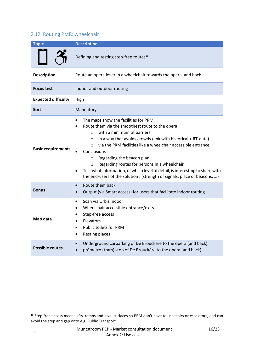### <span id="page-15-0"></span>2.12 Routing PMR: wheelchair

| <b>Topic</b>               | <b>Description</b>                                                                                                                                                                                                                                                                                                                                                                                                                                                                                                                                                                                             |  |  |  |
|----------------------------|----------------------------------------------------------------------------------------------------------------------------------------------------------------------------------------------------------------------------------------------------------------------------------------------------------------------------------------------------------------------------------------------------------------------------------------------------------------------------------------------------------------------------------------------------------------------------------------------------------------|--|--|--|
|                            | Defining and testing step-free routes <sup>16</sup>                                                                                                                                                                                                                                                                                                                                                                                                                                                                                                                                                            |  |  |  |
| <b>Description</b>         | Route an opera lover in a wheelchair towards the opera, and back                                                                                                                                                                                                                                                                                                                                                                                                                                                                                                                                               |  |  |  |
| <b>Focus test</b>          | Indoor and outdoor routing                                                                                                                                                                                                                                                                                                                                                                                                                                                                                                                                                                                     |  |  |  |
| <b>Expected difficulty</b> | High                                                                                                                                                                                                                                                                                                                                                                                                                                                                                                                                                                                                           |  |  |  |
| Sort                       | Mandatory                                                                                                                                                                                                                                                                                                                                                                                                                                                                                                                                                                                                      |  |  |  |
| <b>Basic requirements</b>  | The maps show the facilities for PRM.<br>$\bullet$<br>Route them via the smoothest route to the opera<br>$\bullet$<br>with a minimum of barriers<br>$\Omega$<br>in a way that avoids crowds (link with historical + RT-data)<br>$\circ$<br>via the PRM facilities like a wheelchair accessible entrance<br>$\circ$<br>Conclusions<br>Regarding the beacon plan<br>$\circ$<br>Regarding routes for persons in a wheelchair<br>$\circ$<br>Test what information, of which level of detail, is interesting to share with<br>$\bullet$<br>the end-users of the solution? (strength of signals, place of beacons, ) |  |  |  |
| <b>Bonus</b>               | Route them back<br>$\bullet$<br>Output (via Smart access) for users that facilitate indoor routing<br>$\bullet$                                                                                                                                                                                                                                                                                                                                                                                                                                                                                                |  |  |  |
| Map data                   | Scan via Urbis Indoor<br>$\bullet$<br>Wheelchair accessible entrance/exits<br>$\bullet$<br>Step-free access<br>$\bullet$<br>Elevators<br>$\bullet$<br>Public toilets for PRM<br>$\bullet$<br>Resting places<br>$\bullet$                                                                                                                                                                                                                                                                                                                                                                                       |  |  |  |
| <b>Possible routes</b>     | Underground carparking of De Brouckère to the opera (and back)<br>$\bullet$<br>prémetro (tram) stop of De Brouckère to the opera (and back)<br>$\bullet$                                                                                                                                                                                                                                                                                                                                                                                                                                                       |  |  |  |

1

<sup>&</sup>lt;sup>16</sup> Step-free access means lifts, ramps and level surfaces so PRM don't have to use stairs or escalators, and can avoid the step and gap onto e.g. Public Transport.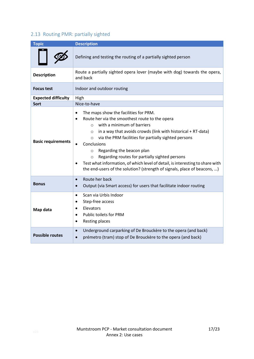## <span id="page-16-0"></span>2.13 Routing PMR: partially sighted

| <b>Topic</b>               | <b>Description</b>                                                                                                                                                                                                                                                                                                                                                                                                                                                                                                                                                                |  |  |  |  |
|----------------------------|-----------------------------------------------------------------------------------------------------------------------------------------------------------------------------------------------------------------------------------------------------------------------------------------------------------------------------------------------------------------------------------------------------------------------------------------------------------------------------------------------------------------------------------------------------------------------------------|--|--|--|--|
|                            | Defining and testing the routing of a partially sighted person                                                                                                                                                                                                                                                                                                                                                                                                                                                                                                                    |  |  |  |  |
| <b>Description</b>         | Route a partially sighted opera lover (maybe with dog) towards the opera,<br>and back                                                                                                                                                                                                                                                                                                                                                                                                                                                                                             |  |  |  |  |
| <b>Focus test</b>          | Indoor and outdoor routing                                                                                                                                                                                                                                                                                                                                                                                                                                                                                                                                                        |  |  |  |  |
| <b>Expected difficulty</b> | High                                                                                                                                                                                                                                                                                                                                                                                                                                                                                                                                                                              |  |  |  |  |
| <b>Sort</b>                | Nice-to-have                                                                                                                                                                                                                                                                                                                                                                                                                                                                                                                                                                      |  |  |  |  |
| <b>Basic requirements</b>  | The maps show the facilities for PRM.<br>$\bullet$<br>Route her via the smoothest route to the opera<br>with a minimum of barriers<br>$\circ$<br>in a way that avoids crowds (link with historical + RT-data)<br>$\circ$<br>via the PRM facilities for partially sighted persons<br>$\circ$<br>Conclusions<br>Regarding the beacon plan<br>$\circ$<br>Regarding routes for partially sighted persons<br>$\circ$<br>Test what information, of which level of detail, is interesting to share with<br>٠<br>the end-users of the solution? (strength of signals, place of beacons, ) |  |  |  |  |
| <b>Bonus</b>               | Route her back<br>$\bullet$<br>Output (via Smart access) for users that facilitate indoor routing<br>$\bullet$                                                                                                                                                                                                                                                                                                                                                                                                                                                                    |  |  |  |  |
| Map data                   | Scan via Urbis Indoor<br>$\bullet$<br>Step-free access<br>$\bullet$<br>Elevators<br>$\bullet$<br><b>Public toilets for PRM</b><br>$\bullet$<br>Resting places<br>٠                                                                                                                                                                                                                                                                                                                                                                                                                |  |  |  |  |
| <b>Possible routes</b>     | Underground carparking of De Brouckère to the opera (and back)<br>$\bullet$<br>prémetro (tram) stop of De Brouckère to the opera (and back)                                                                                                                                                                                                                                                                                                                                                                                                                                       |  |  |  |  |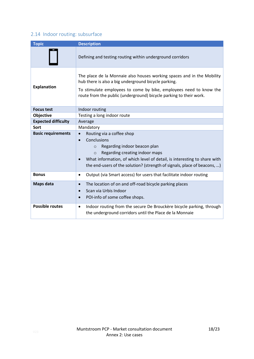## <span id="page-17-0"></span>2.14 Indoor routing: subsurface

| <b>Topic</b>               | <b>Description</b>                                                                                                                                                                                                                                                                         |  |  |  |
|----------------------------|--------------------------------------------------------------------------------------------------------------------------------------------------------------------------------------------------------------------------------------------------------------------------------------------|--|--|--|
|                            | Defining and testing routing within underground corridors                                                                                                                                                                                                                                  |  |  |  |
| <b>Explanation</b>         | The place de la Monnaie also houses working spaces and in the Mobility<br>hub there is also a big underground bicycle parking.<br>To stimulate employees to come by bike, employees need to know the<br>route from the public (underground) bicycle parking to their work.                 |  |  |  |
| <b>Focus test</b>          | Indoor routing                                                                                                                                                                                                                                                                             |  |  |  |
| Objective                  | Testing a long indoor route                                                                                                                                                                                                                                                                |  |  |  |
| <b>Expected difficulty</b> | Average                                                                                                                                                                                                                                                                                    |  |  |  |
| Sort                       | Mandatory                                                                                                                                                                                                                                                                                  |  |  |  |
| <b>Basic requirements</b>  | Routing via a coffee shop<br>Conclusions<br>Regarding indoor beacon plan<br>$\Omega$<br>Regarding creating indoor maps<br>$\Omega$<br>What information, of which level of detail, is interesting to share with<br>the end-users of the solution? (strength of signals, place of beacons, ) |  |  |  |
| <b>Bonus</b>               | Output (via Smart access) for users that facilitate indoor routing<br>٠                                                                                                                                                                                                                    |  |  |  |
| Maps data                  | The location of on and off-road bicycle parking places<br>$\bullet$<br>Scan via Urbis Indoor<br>POI-info of some coffee shops.<br>$\bullet$                                                                                                                                                |  |  |  |
| <b>Possible routes</b>     | Indoor routing from the secure De Brouckère bicycle parking, through<br>$\bullet$<br>the underground corridors until the Place de la Monnaie                                                                                                                                               |  |  |  |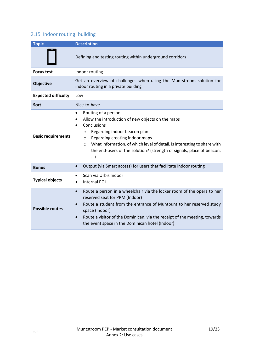## <span id="page-18-0"></span>2.15 Indoor routing: building

| <b>Topic</b>               | <b>Description</b>                                                                                                                                                                                                                                                                                                                                                                          |  |  |
|----------------------------|---------------------------------------------------------------------------------------------------------------------------------------------------------------------------------------------------------------------------------------------------------------------------------------------------------------------------------------------------------------------------------------------|--|--|
|                            | Defining and testing routing within underground corridors                                                                                                                                                                                                                                                                                                                                   |  |  |
| <b>Focus test</b>          | Indoor routing                                                                                                                                                                                                                                                                                                                                                                              |  |  |
| <b>Objective</b>           | Get an overview of challenges when using the Muntstroom solution for<br>indoor routing in a private building                                                                                                                                                                                                                                                                                |  |  |
| <b>Expected difficulty</b> | Low                                                                                                                                                                                                                                                                                                                                                                                         |  |  |
| Sort                       | Nice-to-have                                                                                                                                                                                                                                                                                                                                                                                |  |  |
| <b>Basic requirements</b>  | Routing of a person<br>$\bullet$<br>Allow the introduction of new objects on the maps<br>$\bullet$<br>Conclusions<br>$\bullet$<br>Regarding indoor beacon plan<br>$\circ$<br>Regarding creating indoor maps<br>$\circ$<br>What information, of which level of detail, is interesting to share with<br>$\circ$<br>the end-users of the solution? (strength of signals, place of beacon,<br>) |  |  |
| <b>Bonus</b>               | Output (via Smart access) for users that facilitate indoor routing<br>$\bullet$                                                                                                                                                                                                                                                                                                             |  |  |
| <b>Typical objects</b>     | Scan via Urbis Indoor<br>$\bullet$<br><b>Internal POI</b>                                                                                                                                                                                                                                                                                                                                   |  |  |
| <b>Possible routes</b>     | Route a person in a wheelchair via the locker room of the opera to her<br>$\bullet$<br>reserved seat for PRM (Indoor)<br>Route a student from the entrance of Muntpunt to her reserved study<br>$\bullet$<br>space (Indoor)<br>Route a visitor of the Dominican, via the receipt of the meeting, towards<br>$\bullet$<br>the event space in the Dominican hotel (Indoor)                    |  |  |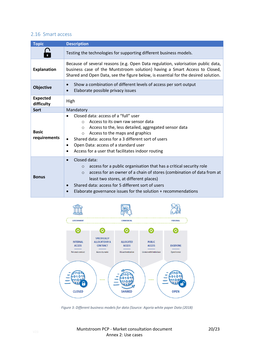### <span id="page-19-0"></span>2.16 Smart access

| <b>Topic</b>                  | <b>Description</b>                                                                                                                                                                                                                                                                                                                                                            |  |  |  |
|-------------------------------|-------------------------------------------------------------------------------------------------------------------------------------------------------------------------------------------------------------------------------------------------------------------------------------------------------------------------------------------------------------------------------|--|--|--|
|                               | Testing the technologies for supporting different business models.                                                                                                                                                                                                                                                                                                            |  |  |  |
| <b>Explanation</b>            | Because of several reasons (e.g. Open Data regulation, valorisation public data,<br>business case of the Muntstroom solution) having a Smart Access to Closed,<br>Shared and Open Data, see the figure below, is essential for the desired solution.                                                                                                                          |  |  |  |
| <b>Objective</b>              | Show a combination of different levels of access per sort output<br>$\bullet$<br>Elaborate possible privacy issues                                                                                                                                                                                                                                                            |  |  |  |
| <b>Expected</b><br>difficulty | High                                                                                                                                                                                                                                                                                                                                                                          |  |  |  |
| <b>Sort</b>                   | Mandatory                                                                                                                                                                                                                                                                                                                                                                     |  |  |  |
| <b>Basic</b><br>requirements  | Closed data: access of a "full" user<br>Access to its own raw sensor data<br>$\bigcap$<br>Access to the, less detailed, aggregated sensor data<br>$\circ$<br>Access to the maps and graphics<br>$\circ$<br>Shared data: access for a 3 different sort of users<br>Open Data: access of a standard user<br>$\bullet$<br>Access for a user that facilitates indoor routing<br>٠ |  |  |  |
| <b>Bonus</b>                  | Closed data:<br>$\bullet$<br>access for a public organisation that has a critical security role<br>$\Omega$<br>access for an owner of a chain of stores (combination of data from at<br>$\Omega$<br>least two stores, at different places)<br>Shared data: access for 5 different sort of users<br>Elaborate governance issues for the solution + recommendations             |  |  |  |



*Figure 3: Different business models for data (Source: Agoria white paper Data (2018)*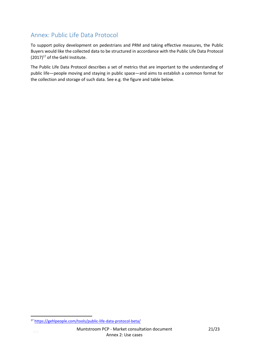## <span id="page-20-0"></span>Annex: Public Life Data Protocol

To support policy development on pedestrians and PRM and taking effective measures, the Public Buyers would like the collected data to be structured in accordance with the Public Life Data Protocol  $(2017)^{17}$  of the Gehl Institute.

The Public Life Data Protocol describes a set of metrics that are important to the understanding of public life—people moving and staying in public space—and aims to establish a common format for the collection and storage of such data. See e.g. the figure and table below.

**<sup>.</sup>** <sup>17</sup> <https://gehlpeople.com/tools/public-life-data-protocol-beta/>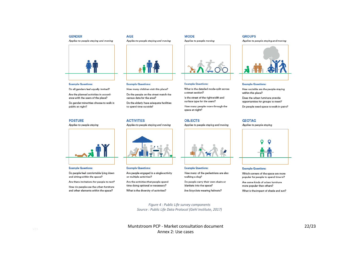#### **GENDER**

Applies to people staying and moving



#### **Example Questions:**

Do all genders feel equally invited?

Are the planned activities in accordance with the users of the place?

Do gender minorities choose to walk in public at night?

#### **POSTURE**

Applies to people staying



#### **Example Questions:**

Do people feel comfortable lying down and sitting within the space?

Are there invitations for people to rest?

How do people use the urban furniture and other elements within the space?

#### **AGE** Applies to people staying and moving



#### **Example Questions:**

**ACTIVITIES** 

How many children visit this place?

Do the people on the street match the census data for the area?

Do the elderly have adequate facilities to spend time outside?

Applies to people staying and moving



#### **Example Questions:**

Are people engaged in a single activity or multiple activities?

Are the activities that people spend time doing optional or necessary? What is the diversity of activities?



#### **Example Questions:**

a street section?

**MODE** 

What is the detailed mode-split across

Applies to people moving

Is the street of the right width and

surface type for the users?

How many people move through the space at night?

#### **OBJECTS**

Applies to people staying and moving



#### **Example Questions:**

How many of the pedestrians are also walking a dog?

Do people carry their own chairs or blankets into the space? Are bicyclists wearing helmets?

Applies to people staying and moving

**GROUPS** 



#### **Example Questions:**

How sociable are the people staying within this place?

Does the urban furniture provide opportunities for groups to meet?

Do people need space to walk in pairs?

#### **GEOTAG**

Applies to people staying



#### **Example Questions:**

Which corners of the space are more popular for people to spend time in?

Are some kinds of urban furniture more popular than others?

What is the impact of shade and sun?

*Figure 4 : Public Life survey components Source : Public Life Data Protocol (Gehl Institute, 2017)*

Muntstroom PCP - Market consultation document Annex 2: Use cases